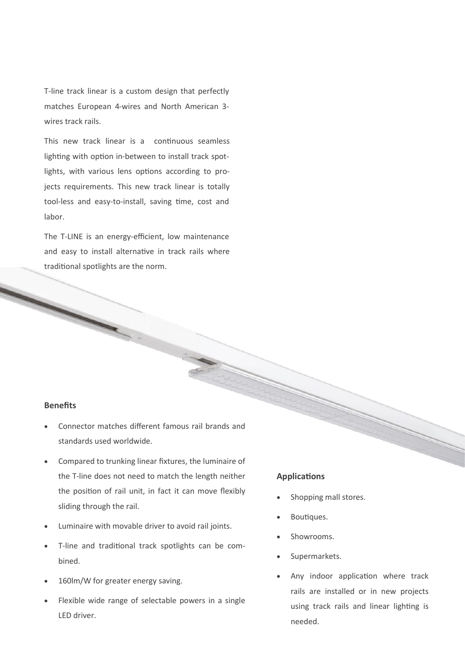T-line track linear is a custom design that perfectly matches European 4-wires and North American 3 wires track rails.

This new track linear is a continuous seamless lighting with option in-between to install track spotlights, with various lens options according to projects requirements. This new track linear is totally tool-less and easy-to-install, saving time, cost and labor.

The T-LINE is an energy-efficient, low maintenance and easy to install alternative in track rails where traditional spotlights are the norm.

#### **Benefits**

- Connector matches different famous rail brands and standards used worldwide.
- Compared to trunking linear fixtures, the luminaire of the T-line does not need to match the length neither the position of rail unit, in fact it can move flexibly sliding through the rail.
- Luminaire with movable driver to avoid rail joints.
- T-line and traditional track spotlights can be combined.
- 160lm/W for greater energy saving.
- Flexible wide range of selectable powers in a single LED driver.

### **Applications**

- Shopping mall stores.
- Boutiques.
- Showrooms.
- Supermarkets.
- Any indoor application where track rails are installed or in new projects using track rails and linear lighting is needed.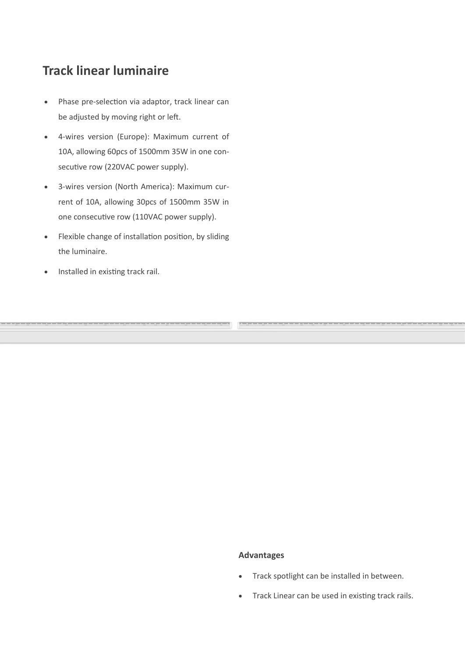## **Track linear luminaire**

- Phase pre-selection via adaptor, track linear can be adjusted by moving right or left.
- 4-wires version (Europe): Maximum current of 10A, allowing 60pcs of 1500mm 35W in one consecutive row (220VAC power supply).
- 3-wires version (North America): Maximum current of 10A, allowing 30pcs of 1500mm 35W in one consecutive row (110VAC power supply).
- Flexible change of installation position, by sliding the luminaire.
- Installed in existing track rail.

#### **Advantages**

- Track spotlight can be installed in between.
- Track Linear can be used in existing track rails.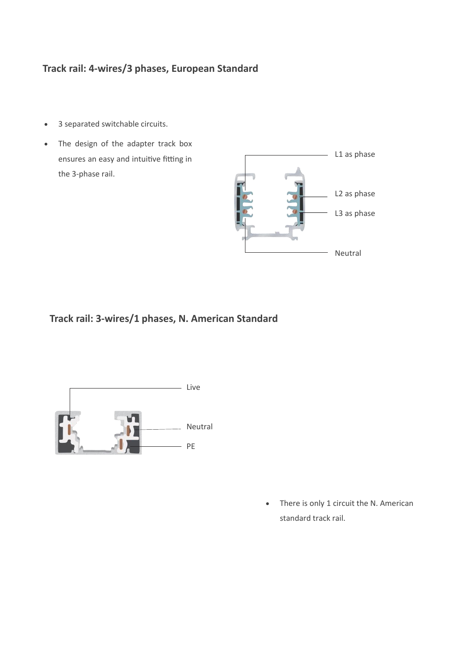## **Track rail: 4-wires/3 phases, European Standard**

- 3 separated switchable circuits.
- The design of the adapter track box ensures an easy and intuitive fitting in the 3-phase rail.



## **Track rail: 3-wires/1 phases, N. American Standard**



• There is only 1 circuit the N. American standard track rail.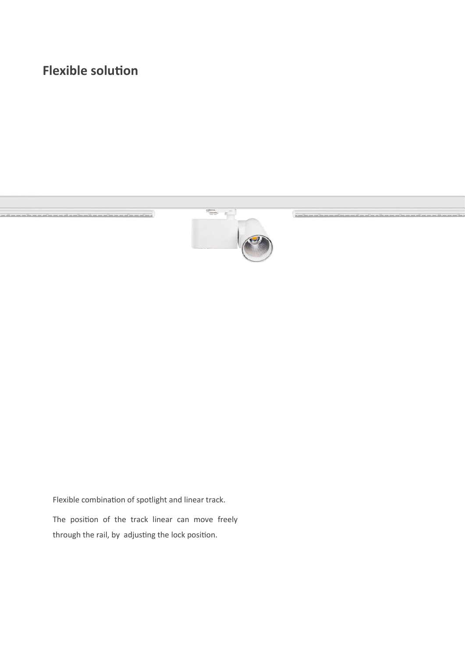# **Flexible solution**



Flexible combination of spotlight and linear track.

The position of the track linear can move freely through the rail, by adjusting the lock position.

 $\overline{\phantom{a}}$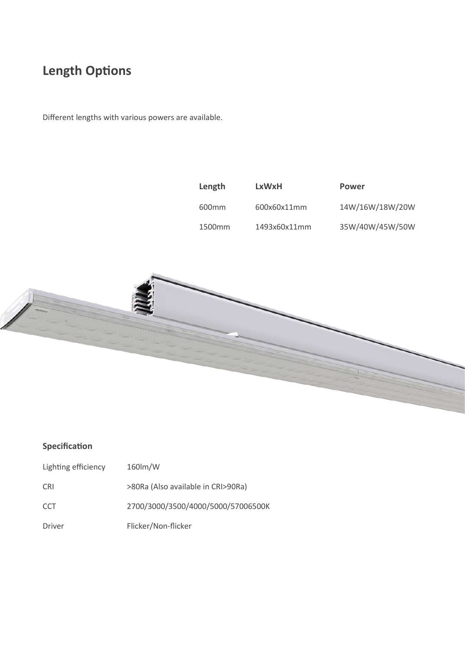## **Length Options**

Different lengths with various powers are available.



### **Specification**

| Lighting efficiency | 160lm/W                            |
|---------------------|------------------------------------|
| CRI                 | >80Ra (Also available in CRI>90Ra) |
| CCT                 | 2700/3000/3500/4000/5000/57006500K |
| Driver              | Flicker/Non-flicker                |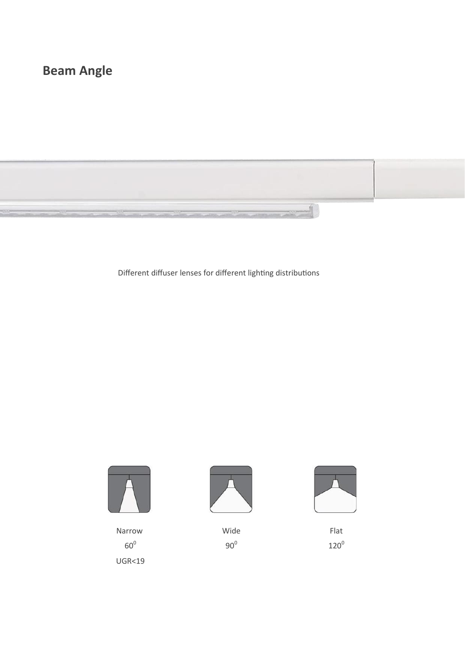# **Beam Angle**



Different diffuser lenses for different lighting distributions



Narrow  $60^0$ 





Wide 90<sup>0</sup>



Flat  $120^0$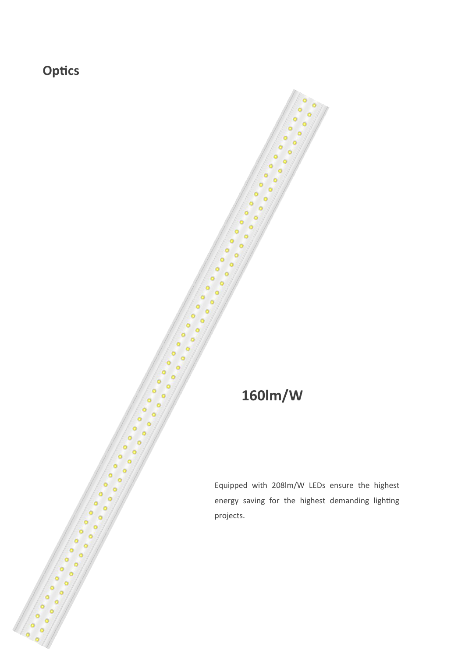**Optics**

# **160lm/W**

Equipped with 208lm/W LEDs ensure the highest energy saving for the highest demanding lighting projects.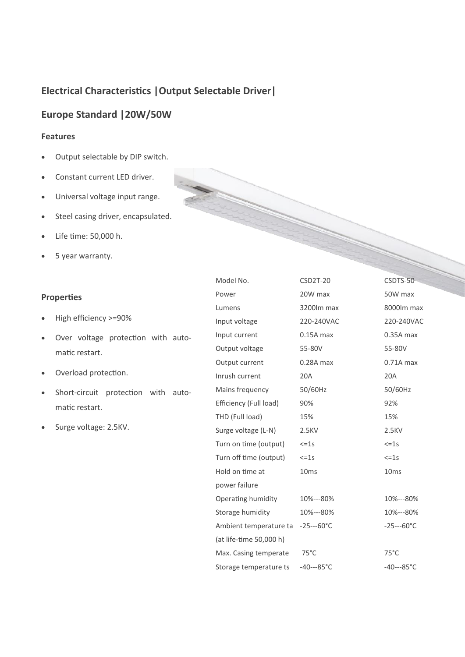## **Electrical Characteristics |Output Selectable Driver|**

## **Europe Standard |20W/50W**

### **Features**

- Output selectable by DIP switch.
- Constant current LED driver.
- Universal voltage input range.
- Steel casing driver, encapsulated.
- Life time: 50,000 h.
- 5 year warranty.

### **Properties**

- High efficiency >=90%
- Over voltage protection with automatic restart.
- Overload protection.
- Short-circuit protection with automatic restart.
- Surge voltage: 2.5KV.

| Model No.               | <b>CSD2T-20</b>     | CSDTS-50           |
|-------------------------|---------------------|--------------------|
| Power                   | 20W max             | 50W max            |
| Lumens                  | 3200lm max          | 8000lm max         |
| Input voltage           | 220-240VAC          | 220-240VAC         |
| Input current           | $0.15A$ max         | $0.35A$ max        |
| Output voltage          | 55-80V              | 55-80V             |
| Output current          | $0.28A$ max         | $0.71A$ max        |
| Inrush current          | 20A                 | 20A                |
| Mains frequency         | 50/60Hz             | 50/60Hz            |
| Efficiency (Full load)  | 90%                 | 92%                |
| THD (Full load)         | 15%                 | 15%                |
| Surge voltage (L-N)     | 2.5KV               | 2.5KV              |
| Turn on time (output)   | $\leq$ = 1s         | $\leq$ =1s         |
| Turn off time (output)  | $\leq$ =1s          | $\leq$ =1s         |
| Hold on time at         | 10 <sub>ms</sub>    | 10 <sub>ms</sub>   |
| power failure           |                     |                    |
| Operating humidity      | 10%---80%           | 10%---80%          |
| Storage humidity        | 10%---80%           | 10%---80%          |
| Ambient temperature ta  | $-25--60^{\circ}C$  | $-25--60^{\circ}C$ |
| (at life-time 50,000 h) |                     |                    |
| Max. Casing temperate   | $75^{\circ}$ C      | $75^{\circ}$ C     |
| Storage temperature ts  | $-40--85^{\circ}$ C | $-40--85^{\circ}C$ |